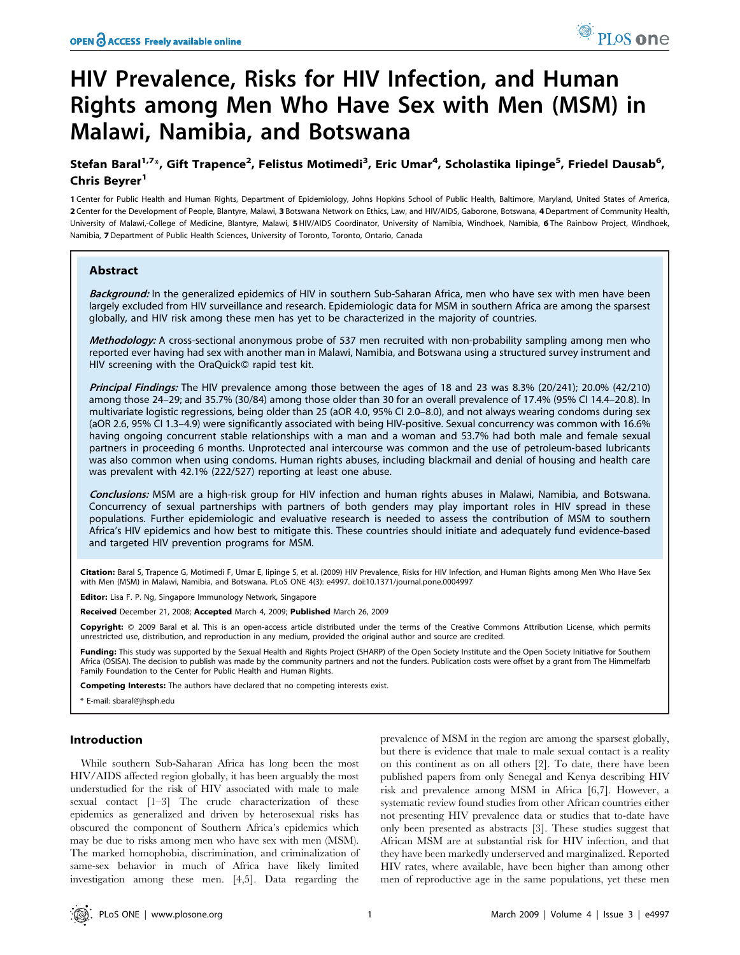# HIV Prevalence, Risks for HIV Infection, and Human Rights among Men Who Have Sex with Men (MSM) in Malawi, Namibia, and Botswana

## Stefan Baral<sup>1,7</sup>\*, Gift Trapence<sup>2</sup>, Felistus Motimedi<sup>3</sup>, Eric Umar<sup>4</sup>, Scholastika Iipinge<sup>5</sup>, Friedel Dausab<sup>6</sup>, Chris Beyrer<sup>1</sup>

1 Center for Public Health and Human Rights, Department of Epidemiology, Johns Hopkins School of Public Health, Baltimore, Maryland, United States of America, 2 Center for the Development of People, Blantyre, Malawi, 3 Botswana Network on Ethics, Law, and HIV/AIDS, Gaborone, Botswana, 4 Department of Community Health, University of Malawi,-College of Medicine, Blantyre, Malawi, 5HIV/AIDS Coordinator, University of Namibia, Windhoek, Namibia, 6 The Rainbow Project, Windhoek, Namibia, 7Department of Public Health Sciences, University of Toronto, Toronto, Ontario, Canada

## Abstract

Background: In the generalized epidemics of HIV in southern Sub-Saharan Africa, men who have sex with men have been largely excluded from HIV surveillance and research. Epidemiologic data for MSM in southern Africa are among the sparsest globally, and HIV risk among these men has yet to be characterized in the majority of countries.

Methodology: A cross-sectional anonymous probe of 537 men recruited with non-probability sampling among men who reported ever having had sex with another man in Malawi, Namibia, and Botswana using a structured survey instrument and HIV screening with the OraQuick $\odot$  rapid test kit.

Principal Findings: The HIV prevalence among those between the ages of 18 and 23 was 8.3% (20/241); 20.0% (42/210) among those 24–29; and 35.7% (30/84) among those older than 30 for an overall prevalence of 17.4% (95% CI 14.4–20.8). In multivariate logistic regressions, being older than 25 (aOR 4.0, 95% CI 2.0–8.0), and not always wearing condoms during sex (aOR 2.6, 95% CI 1.3–4.9) were significantly associated with being HIV-positive. Sexual concurrency was common with 16.6% having ongoing concurrent stable relationships with a man and a woman and 53.7% had both male and female sexual partners in proceeding 6 months. Unprotected anal intercourse was common and the use of petroleum-based lubricants was also common when using condoms. Human rights abuses, including blackmail and denial of housing and health care was prevalent with 42.1% (222/527) reporting at least one abuse.

Conclusions: MSM are a high-risk group for HIV infection and human rights abuses in Malawi, Namibia, and Botswana. Concurrency of sexual partnerships with partners of both genders may play important roles in HIV spread in these populations. Further epidemiologic and evaluative research is needed to assess the contribution of MSM to southern Africa's HIV epidemics and how best to mitigate this. These countries should initiate and adequately fund evidence-based and targeted HIV prevention programs for MSM.

Citation: Baral S, Trapence G, Motimedi F, Umar E, lipinge S, et al. (2009) HIV Prevalence, Risks for HIV Infection, and Human Rights among Men Who Have Sex with Men (MSM) in Malawi, Namibia, and Botswana. PLoS ONE 4(3): e4997. doi:10.1371/journal.pone.0004997

Editor: Lisa F. P. Ng, Singapore Immunology Network, Singapore

Received December 21, 2008; Accepted March 4, 2009; Published March 26, 2009

Copyright: @ 2009 Baral et al. This is an open-access article distributed under the terms of the Creative Commons Attribution License, which permits unrestricted use, distribution, and reproduction in any medium, provided the original author and source are credited.

Funding: This study was supported by the Sexual Health and Rights Project (SHARP) of the Open Society Institute and the Open Society Initiative for Southern Africa (OSISA). The decision to publish was made by the community partners and not the funders. Publication costs were offset by a grant from The Himmelfarb Family Foundation to the Center for Public Health and Human Rights.

Competing Interests: The authors have declared that no competing interests exist.

\* E-mail: sbaral@jhsph.edu

## Introduction

While southern Sub-Saharan Africa has long been the most HIV/AIDS affected region globally, it has been arguably the most understudied for the risk of HIV associated with male to male sexual contact [1–3] The crude characterization of these epidemics as generalized and driven by heterosexual risks has obscured the component of Southern Africa's epidemics which may be due to risks among men who have sex with men (MSM). The marked homophobia, discrimination, and criminalization of same-sex behavior in much of Africa have likely limited investigation among these men. [4,5]. Data regarding the

prevalence of MSM in the region are among the sparsest globally, but there is evidence that male to male sexual contact is a reality on this continent as on all others [2]. To date, there have been published papers from only Senegal and Kenya describing HIV risk and prevalence among MSM in Africa [6,7]. However, a systematic review found studies from other African countries either not presenting HIV prevalence data or studies that to-date have only been presented as abstracts [3]. These studies suggest that African MSM are at substantial risk for HIV infection, and that they have been markedly underserved and marginalized. Reported HIV rates, where available, have been higher than among other men of reproductive age in the same populations, yet these men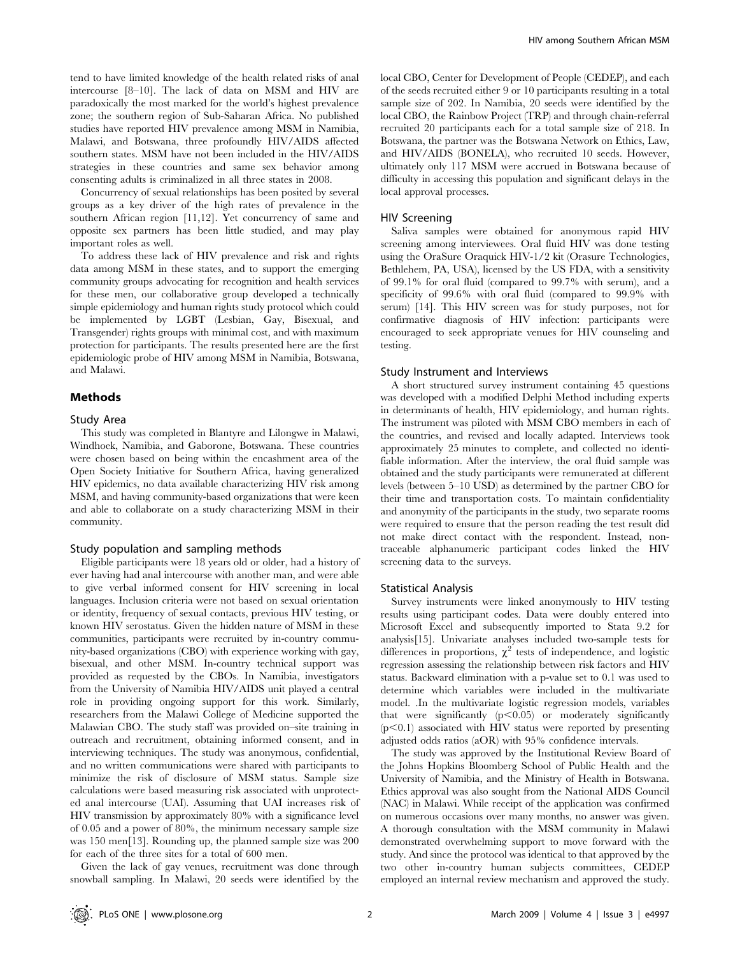tend to have limited knowledge of the health related risks of anal intercourse [8–10]. The lack of data on MSM and HIV are paradoxically the most marked for the world's highest prevalence zone; the southern region of Sub-Saharan Africa. No published studies have reported HIV prevalence among MSM in Namibia, Malawi, and Botswana, three profoundly HIV/AIDS affected southern states. MSM have not been included in the HIV/AIDS strategies in these countries and same sex behavior among consenting adults is criminalized in all three states in 2008.

Concurrency of sexual relationships has been posited by several groups as a key driver of the high rates of prevalence in the southern African region [11,12]. Yet concurrency of same and opposite sex partners has been little studied, and may play important roles as well.

To address these lack of HIV prevalence and risk and rights data among MSM in these states, and to support the emerging community groups advocating for recognition and health services for these men, our collaborative group developed a technically simple epidemiology and human rights study protocol which could be implemented by LGBT (Lesbian, Gay, Bisexual, and Transgender) rights groups with minimal cost, and with maximum protection for participants. The results presented here are the first epidemiologic probe of HIV among MSM in Namibia, Botswana, and Malawi.

## Methods

## Study Area

This study was completed in Blantyre and Lilongwe in Malawi, Windhoek, Namibia, and Gaborone, Botswana. These countries were chosen based on being within the encashment area of the Open Society Initiative for Southern Africa, having generalized HIV epidemics, no data available characterizing HIV risk among MSM, and having community-based organizations that were keen and able to collaborate on a study characterizing MSM in their community.

#### Study population and sampling methods

Eligible participants were 18 years old or older, had a history of ever having had anal intercourse with another man, and were able to give verbal informed consent for HIV screening in local languages. Inclusion criteria were not based on sexual orientation or identity, frequency of sexual contacts, previous HIV testing, or known HIV serostatus. Given the hidden nature of MSM in these communities, participants were recruited by in-country community-based organizations (CBO) with experience working with gay, bisexual, and other MSM. In-country technical support was provided as requested by the CBOs. In Namibia, investigators from the University of Namibia HIV/AIDS unit played a central role in providing ongoing support for this work. Similarly, researchers from the Malawi College of Medicine supported the Malawian CBO. The study staff was provided on–site training in outreach and recruitment, obtaining informed consent, and in interviewing techniques. The study was anonymous, confidential, and no written communications were shared with participants to minimize the risk of disclosure of MSM status. Sample size calculations were based measuring risk associated with unprotected anal intercourse (UAI). Assuming that UAI increases risk of HIV transmission by approximately 80% with a significance level of 0.05 and a power of 80%, the minimum necessary sample size was 150 men[13]. Rounding up, the planned sample size was 200 for each of the three sites for a total of 600 men.

Given the lack of gay venues, recruitment was done through snowball sampling. In Malawi, 20 seeds were identified by the

local CBO, Center for Development of People (CEDEP), and each of the seeds recruited either 9 or 10 participants resulting in a total sample size of 202. In Namibia, 20 seeds were identified by the local CBO, the Rainbow Project (TRP) and through chain-referral recruited 20 participants each for a total sample size of 218. In Botswana, the partner was the Botswana Network on Ethics, Law, and HIV/AIDS (BONELA), who recruited 10 seeds. However, ultimately only 117 MSM were accrued in Botswana because of difficulty in accessing this population and significant delays in the local approval processes.

## HIV Screening

Saliva samples were obtained for anonymous rapid HIV screening among interviewees. Oral fluid HIV was done testing using the OraSure Oraquick HIV-1/2 kit (Orasure Technologies, Bethlehem, PA, USA), licensed by the US FDA, with a sensitivity of 99.1% for oral fluid (compared to 99.7% with serum), and a specificity of 99.6% with oral fluid (compared to 99.9% with serum) [14]. This HIV screen was for study purposes, not for confirmative diagnosis of HIV infection: participants were encouraged to seek appropriate venues for HIV counseling and testing.

#### Study Instrument and Interviews

A short structured survey instrument containing 45 questions was developed with a modified Delphi Method including experts in determinants of health, HIV epidemiology, and human rights. The instrument was piloted with MSM CBO members in each of the countries, and revised and locally adapted. Interviews took approximately 25 minutes to complete, and collected no identifiable information. After the interview, the oral fluid sample was obtained and the study participants were remunerated at different levels (between 5–10 USD) as determined by the partner CBO for their time and transportation costs. To maintain confidentiality and anonymity of the participants in the study, two separate rooms were required to ensure that the person reading the test result did not make direct contact with the respondent. Instead, nontraceable alphanumeric participant codes linked the HIV screening data to the surveys.

#### Statistical Analysis

Survey instruments were linked anonymously to HIV testing results using participant codes. Data were doubly entered into Microsoft Excel and subsequently imported to Stata 9.2 for analysis[15]. Univariate analyses included two-sample tests for differences in proportions,  $\chi^2$  tests of independence, and logistic regression assessing the relationship between risk factors and HIV status. Backward elimination with a p-value set to 0.1 was used to determine which variables were included in the multivariate model. .In the multivariate logistic regression models, variables that were significantly  $(p<0.05)$  or moderately significantly  $(p<0.1)$  associated with HIV status were reported by presenting adjusted odds ratios (aOR) with 95% confidence intervals.

The study was approved by the Institutional Review Board of the Johns Hopkins Bloomberg School of Public Health and the University of Namibia, and the Ministry of Health in Botswana. Ethics approval was also sought from the National AIDS Council (NAC) in Malawi. While receipt of the application was confirmed on numerous occasions over many months, no answer was given. A thorough consultation with the MSM community in Malawi demonstrated overwhelming support to move forward with the study. And since the protocol was identical to that approved by the two other in-country human subjects committees, CEDEP employed an internal review mechanism and approved the study.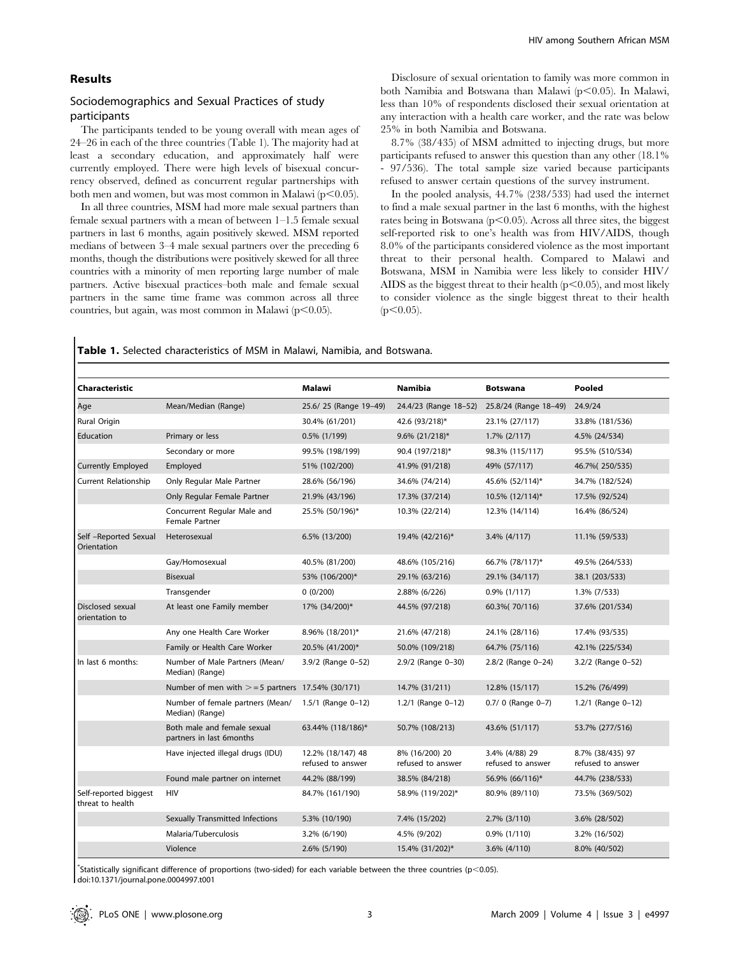## Results

## Sociodemographics and Sexual Practices of study participants

The participants tended to be young overall with mean ages of 24–26 in each of the three countries (Table 1). The majority had at least a secondary education, and approximately half were currently employed. There were high levels of bisexual concurrency observed, defined as concurrent regular partnerships with both men and women, but was most common in Malawi  $(p<0.05)$ .

In all three countries, MSM had more male sexual partners than female sexual partners with a mean of between 1–1.5 female sexual partners in last 6 months, again positively skewed. MSM reported medians of between 3–4 male sexual partners over the preceding 6 months, though the distributions were positively skewed for all three countries with a minority of men reporting large number of male partners. Active bisexual practices–both male and female sexual partners in the same time frame was common across all three countries, but again, was most common in Malawi ( $p$ <0.05).

Disclosure of sexual orientation to family was more common in both Namibia and Botswana than Malawi ( $p$ <0.05). In Malawi, less than 10% of respondents disclosed their sexual orientation at any interaction with a health care worker, and the rate was below 25% in both Namibia and Botswana.

8.7% (38/435) of MSM admitted to injecting drugs, but more participants refused to answer this question than any other (18.1% - 97/536). The total sample size varied because participants refused to answer certain questions of the survey instrument.

In the pooled analysis, 44.7% (238/533) had used the internet to find a male sexual partner in the last 6 months, with the highest rates being in Botswana ( $p<0.05$ ). Across all three sites, the biggest self-reported risk to one's health was from HIV/AIDS, though 8.0% of the participants considered violence as the most important threat to their personal health. Compared to Malawi and Botswana, MSM in Namibia were less likely to consider HIV/ AIDS as the biggest threat to their health  $(p<0.05)$ , and most likely to consider violence as the single biggest threat to their health  $(p<0.05)$ .

## Table 1. Selected characteristics of MSM in Malawi, Namibia, and Botswana.

| Characteristic                            |                                                         | Malawi                                 | <b>Namibia</b>                      | <b>Botswana</b>                     | Pooled                                |
|-------------------------------------------|---------------------------------------------------------|----------------------------------------|-------------------------------------|-------------------------------------|---------------------------------------|
| Age                                       | Mean/Median (Range)                                     | 25.6/25 (Range 19-49)                  | 24.4/23 (Range 18-52)               | 25.8/24 (Range 18-49)               | 24.9/24                               |
| <b>Rural Origin</b>                       |                                                         | 30.4% (61/201)                         | 42.6 (93/218)*                      | 23.1% (27/117)                      | 33.8% (181/536)                       |
| Education                                 | Primary or less                                         | 0.5% (1/199)                           | $9.6\%$ (21/218) <sup>*</sup>       | $1.7\%$ (2/117)                     | 4.5% (24/534)                         |
|                                           | Secondary or more                                       | 99.5% (198/199)                        | 90.4 (197/218)*                     | 98.3% (115/117)                     | 95.5% (510/534)                       |
| <b>Currently Employed</b>                 | Employed                                                | 51% (102/200)                          | 41.9% (91/218)                      | 49% (57/117)                        | 46.7% (250/535)                       |
| <b>Current Relationship</b>               | Only Regular Male Partner                               | 28.6% (56/196)                         | 34.6% (74/214)                      | 45.6% (52/114)*                     | 34.7% (182/524)                       |
|                                           | Only Regular Female Partner                             | 21.9% (43/196)                         | 17.3% (37/214)                      | 10.5% (12/114)*                     | 17.5% (92/524)                        |
|                                           | Concurrent Regular Male and<br>Female Partner           | 25.5% (50/196)*                        | 10.3% (22/214)                      | 12.3% (14/114)                      | 16.4% (86/524)                        |
| Self -Reported Sexual<br>Orientation      | Heterosexual                                            | 6.5% (13/200)                          | 19.4% (42/216)*                     | 3.4% (4/117)                        | 11.1% (59/533)                        |
|                                           | Gay/Homosexual                                          | 40.5% (81/200)                         | 48.6% (105/216)                     | 66.7% (78/117)*                     | 49.5% (264/533)                       |
|                                           | <b>Bisexual</b>                                         | 53% (106/200)*                         | 29.1% (63/216)                      | 29.1% (34/117)                      | 38.1 (203/533)                        |
|                                           | Transgender                                             | 0(0/200)                               | 2.88% (6/226)                       | $0.9\%$ (1/117)                     | 1.3% (7/533)                          |
| Disclosed sexual<br>orientation to        | At least one Family member                              | 17% (34/200)*                          | 44.5% (97/218)                      | 60.3% (70/116)                      | 37.6% (201/534)                       |
|                                           | Any one Health Care Worker                              | 8.96% (18/201)*                        | 21.6% (47/218)                      | 24.1% (28/116)                      | 17.4% (93/535)                        |
|                                           | Family or Health Care Worker                            | 20.5% (41/200)*                        | 50.0% (109/218)                     | 64.7% (75/116)                      | 42.1% (225/534)                       |
| In last 6 months:                         | Number of Male Partners (Mean/<br>Median) (Range)       | 3.9/2 (Range 0-52)                     | 2.9/2 (Range 0-30)                  | 2.8/2 (Range 0-24)                  | 3.2/2 (Range 0-52)                    |
|                                           | Number of men with $> = 5$ partners 17.54% (30/171)     |                                        | 14.7% (31/211)                      | 12.8% (15/117)                      | 15.2% (76/499)                        |
|                                           | Number of female partners (Mean/<br>Median) (Range)     | $1.5/1$ (Range 0-12)                   | $1.2/1$ (Range 0-12)                | $0.7/ 0$ (Range $0 - 7$ )           | 1.2/1 (Range 0-12)                    |
|                                           | Both male and female sexual<br>partners in last 6months | 63.44% (118/186)*                      | 50.7% (108/213)                     | 43.6% (51/117)                      | 53.7% (277/516)                       |
|                                           | Have injected illegal drugs (IDU)                       | 12.2% (18/147) 48<br>refused to answer | 8% (16/200) 20<br>refused to answer | 3.4% (4/88) 29<br>refused to answer | 8.7% (38/435) 97<br>refused to answer |
|                                           | Found male partner on internet                          | 44.2% (88/199)                         | 38.5% (84/218)                      | 56.9% (66/116)*                     | 44.7% (238/533)                       |
| Self-reported biggest<br>threat to health | <b>HIV</b>                                              | 84.7% (161/190)                        | 58.9% (119/202)*                    | 80.9% (89/110)                      | 73.5% (369/502)                       |
|                                           | Sexually Transmitted Infections                         | 5.3% (10/190)                          | 7.4% (15/202)                       | 2.7% (3/110)                        | 3.6% (28/502)                         |
|                                           | Malaria/Tuberculosis                                    | 3.2% (6/190)                           | 4.5% (9/202)                        | $0.9\%$ (1/110)                     | 3.2% (16/502)                         |
|                                           | Violence                                                | 2.6% (5/190)                           | 15.4% (31/202)*                     | $3.6\%$ (4/110)                     | 8.0% (40/502)                         |

\*Statistically significant difference of proportions (two-sided) for each variable between the three countries (p<0.05). doi:10.1371/journal.pone.0004997.t001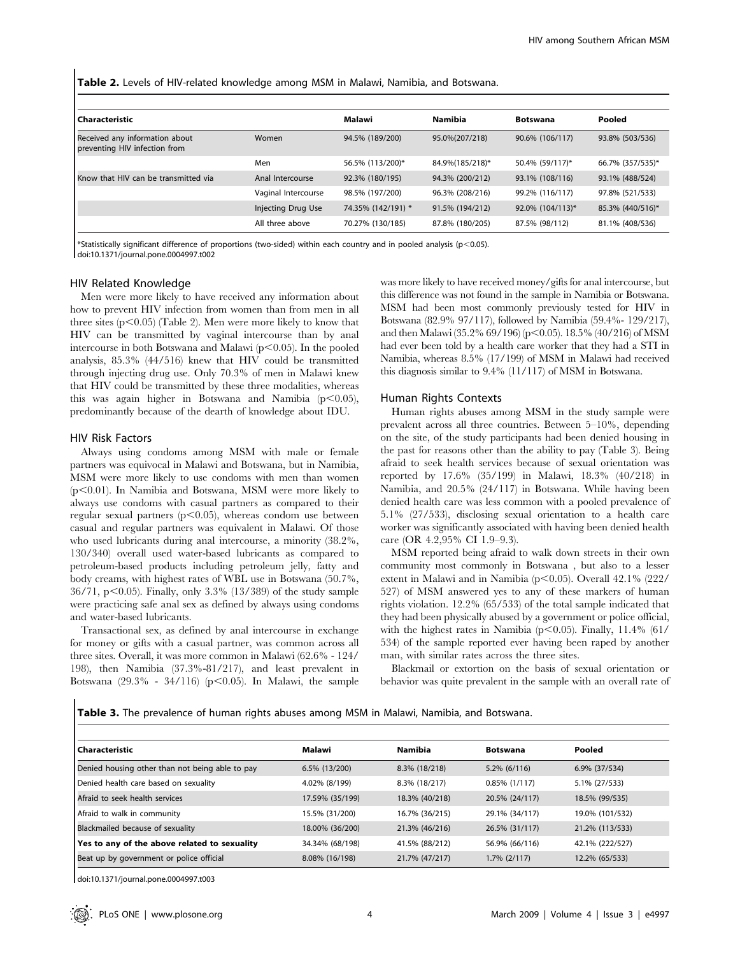Table 2. Levels of HIV-related knowledge among MSM in Malawi, Namibia, and Botswana.

| l Characteristic                                                |                     | Malawi             | Namibia         | <b>Botswana</b>  | Pooled           |
|-----------------------------------------------------------------|---------------------|--------------------|-----------------|------------------|------------------|
| Received any information about<br>preventing HIV infection from | Women               | 94.5% (189/200)    | 95.0%(207/218)  | 90.6% (106/117)  | 93.8% (503/536)  |
|                                                                 | Men                 | 56.5% (113/200)*   | 84.9%(185/218)* | 50.4% (59/117)*  | 66.7% (357/535)* |
| Know that HIV can be transmitted via                            | Anal Intercourse    | 92.3% (180/195)    | 94.3% (200/212) | 93.1% (108/116)  | 93.1% (488/524)  |
|                                                                 | Vaginal Intercourse | 98.5% (197/200)    | 96.3% (208/216) | 99.2% (116/117)  | 97.8% (521/533)  |
|                                                                 | Injecting Drug Use  | 74.35% (142/191) * | 91.5% (194/212) | 92.0% (104/113)* | 85.3% (440/516)* |
|                                                                 | All three above     | 70.27% (130/185)   | 87.8% (180/205) | 87.5% (98/112)   | 81.1% (408/536)  |

\*Statistically significant difference of proportions (two-sided) within each country and in pooled analysis (p<0.05). doi:10.1371/journal.pone.0004997.t002

## HIV Related Knowledge

Men were more likely to have received any information about how to prevent HIV infection from women than from men in all three sites  $(p<0.05)$  (Table 2). Men were more likely to know that HIV can be transmitted by vaginal intercourse than by anal intercourse in both Botswana and Malawi  $(p<0.05)$ . In the pooled analysis, 85.3% (44/516) knew that HIV could be transmitted through injecting drug use. Only 70.3% of men in Malawi knew that HIV could be transmitted by these three modalities, whereas this was again higher in Botswana and Namibia  $(p<0.05)$ , predominantly because of the dearth of knowledge about IDU.

#### HIV Risk Factors

Always using condoms among MSM with male or female partners was equivocal in Malawi and Botswana, but in Namibia, MSM were more likely to use condoms with men than women  $(p<0.01)$ . In Namibia and Botswana, MSM were more likely to always use condoms with casual partners as compared to their regular sexual partners  $(p<0.05)$ , whereas condom use between casual and regular partners was equivalent in Malawi. Of those who used lubricants during anal intercourse, a minority (38.2%, 130/340) overall used water-based lubricants as compared to petroleum-based products including petroleum jelly, fatty and body creams, with highest rates of WBL use in Botswana (50.7%,  $36/71$ , p $< 0.05$ ). Finally, only  $3.3\%$  (13/389) of the study sample were practicing safe anal sex as defined by always using condoms and water-based lubricants.

Transactional sex, as defined by anal intercourse in exchange for money or gifts with a casual partner, was common across all three sites. Overall, it was more common in Malawi (62.6% - 124/ 198), then Namibia (37.3%-81/217), and least prevalent in Botswana (29.3% - 34/116) ( $p<0.05$ ). In Malawi, the sample

was more likely to have received money/gifts for anal intercourse, but this difference was not found in the sample in Namibia or Botswana. MSM had been most commonly previously tested for HIV in Botswana (82.9% 97/117), followed by Namibia (59.4%- 129/217), and then Malawi (35.2% 69/196) (p<0.05). 18.5% (40/216) of MSM had ever been told by a health care worker that they had a STI in Namibia, whereas 8.5% (17/199) of MSM in Malawi had received this diagnosis similar to 9.4% (11/117) of MSM in Botswana.

#### Human Rights Contexts

Human rights abuses among MSM in the study sample were prevalent across all three countries. Between 5–10%, depending on the site, of the study participants had been denied housing in the past for reasons other than the ability to pay (Table 3). Being afraid to seek health services because of sexual orientation was reported by 17.6% (35/199) in Malawi, 18.3% (40/218) in Namibia, and 20.5% (24/117) in Botswana. While having been denied health care was less common with a pooled prevalence of 5.1% (27/533), disclosing sexual orientation to a health care worker was significantly associated with having been denied health care (OR 4.2,95% CI 1.9–9.3).

MSM reported being afraid to walk down streets in their own community most commonly in Botswana , but also to a lesser extent in Malawi and in Namibia ( $p$ <0.05). Overall 42.1% (222/ 527) of MSM answered yes to any of these markers of human rights violation. 12.2% (65/533) of the total sample indicated that they had been physically abused by a government or police official, with the highest rates in Namibia ( $p<0.05$ ). Finally, 11.4% (61/ 534) of the sample reported ever having been raped by another man, with similar rates across the three sites.

Blackmail or extortion on the basis of sexual orientation or behavior was quite prevalent in the sample with an overall rate of

Table 3. The prevalence of human rights abuses among MSM in Malawi, Namibia, and Botswana.

| l Characteristic                                | Malawi          | <b>Namibia</b> | <b>Botswana</b>  | Pooled          |
|-------------------------------------------------|-----------------|----------------|------------------|-----------------|
| Denied housing other than not being able to pay | 6.5% (13/200)   | 8.3% (18/218)  | $5.2\%$ (6/116)  | 6.9% (37/534)   |
| Denied health care based on sexuality           | 4.02% (8/199)   | 8.3% (18/217)  | $0.85\%$ (1/117) | 5.1% (27/533)   |
| Afraid to seek health services                  | 17.59% (35/199) | 18.3% (40/218) | 20.5% (24/117)   | 18.5% (99/535)  |
| Afraid to walk in community                     | 15.5% (31/200)  | 16.7% (36/215) | 29.1% (34/117)   | 19.0% (101/532) |
| Blackmailed because of sexuality                | 18.00% (36/200) | 21.3% (46/216) | 26.5% (31/117)   | 21.2% (113/533) |
| Yes to any of the above related to sexuality    | 34.34% (68/198) | 41.5% (88/212) | 56.9% (66/116)   | 42.1% (222/527) |
| Beat up by government or police official        | 8.08% (16/198)  | 21.7% (47/217) | $1.7\%$ (2/117)  | 12.2% (65/533)  |

doi:10.1371/journal.pone.0004997.t003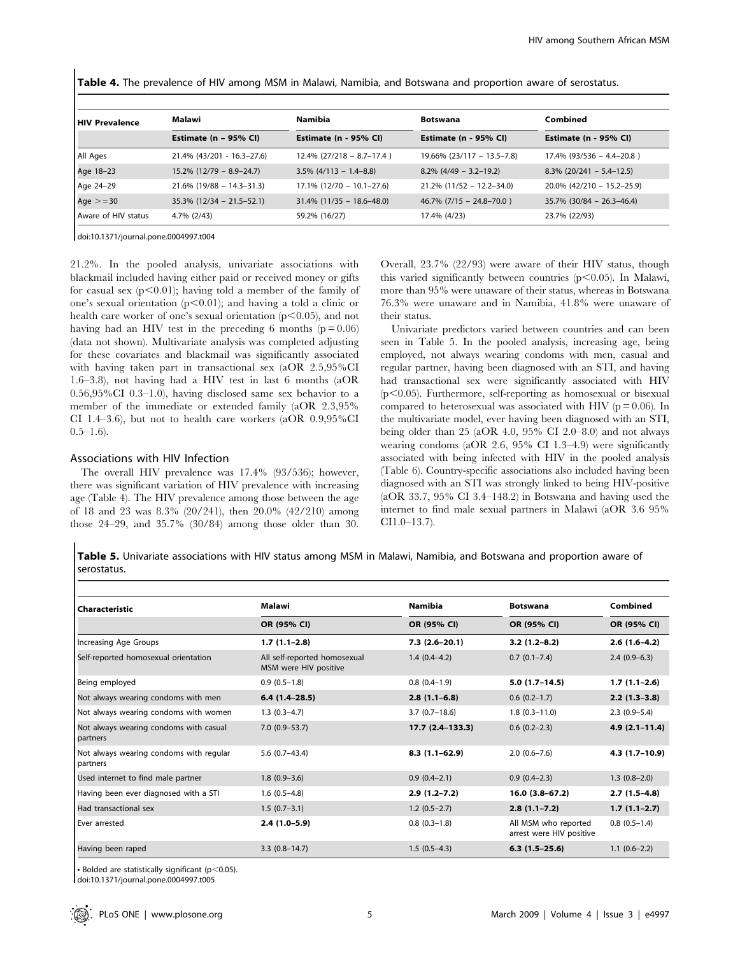Table 4. The prevalence of HIV among MSM in Malawi, Namibia, and Botswana and proportion aware of serostatus.

| <b>HIV Prevalence</b> | Malawi                       | Namibia                      | <b>Botswana</b>               | Combined                      |  |
|-----------------------|------------------------------|------------------------------|-------------------------------|-------------------------------|--|
|                       | Estimate ( $n - 95\%$ CI)    | Estimate (n - 95% CI)        | Estimate (n - 95% CI)         | Estimate (n - 95% CI)         |  |
| All Ages              | 21.4% (43/201 - 16.3-27.6)   | $12.4\%$ (27/218 - 8.7-17.4) | $19.66\%$ (23/117 - 13.5-7.8) | $17.4\%$ (93/536 - 4.4-20.8)  |  |
| Age 18-23             | $15.2\%$ (12/79 - 8.9-24.7)  | $3.5\%$ (4/113 - 1.4-8.8)    | $8.2\%$ (4/49 - 3.2–19.2)     | $8.3\%$ (20/241 - 5.4-12.5)   |  |
| Age 24-29             | $21.6\%$ (19/88 - 14.3-31.3) | $17.1\%$ (12/70 - 10.1-27.6) | $21.2\%$ (11/52 - 12.2-34.0)  | $20.0\%$ (42/210 - 15.2-25.9) |  |
| Age $> = 30$          | $35.3\%$ (12/34 - 21.5-52.1) | $31.4\%$ (11/35 - 18.6-48.0) | $46.7\%$ (7/15 - 24.8-70.0)   | $35.7\%$ (30/84 - 26.3-46.4)  |  |
| Aware of HIV status   | 4.7% (2/43)                  | 59.2% (16/27)                | 17.4% (4/23)                  | 23.7% (22/93)                 |  |

doi:10.1371/journal.pone.0004997.t004

21.2%. In the pooled analysis, univariate associations with blackmail included having either paid or received money or gifts for casual sex  $(p<0.01)$ ; having told a member of the family of one's sexual orientation  $(p<0.01)$ ; and having a told a clinic or health care worker of one's sexual orientation  $(p<0.05)$ , and not having had an HIV test in the preceding 6 months  $(p = 0.06)$ (data not shown). Multivariate analysis was completed adjusting for these covariates and blackmail was significantly associated with having taken part in transactional sex (aOR 2.5,95%CI 1.6–3.8), not having had a HIV test in last 6 months (aOR 0.56,95%CI 0.3–1.0), having disclosed same sex behavior to a member of the immediate or extended family (aOR 2.3,95% CI 1.4–3.6), but not to health care workers (aOR 0.9,95%CI  $0.5-1.6$ ).

#### Associations with HIV Infection

The overall HIV prevalence was 17.4% (93/536); however, there was significant variation of HIV prevalence with increasing age (Table 4). The HIV prevalence among those between the age of 18 and 23 was 8.3% (20/241), then 20.0% (42/210) among those 24–29, and 35.7% (30/84) among those older than 30.

Overall, 23.7% (22/93) were aware of their HIV status, though this varied significantly between countries  $(p<0.05)$ . In Malawi, more than 95% were unaware of their status, whereas in Botswana 76.3% were unaware and in Namibia, 41.8% were unaware of their status.

Univariate predictors varied between countries and can been seen in Table 5. In the pooled analysis, increasing age, being employed, not always wearing condoms with men, casual and regular partner, having been diagnosed with an STI, and having had transactional sex were significantly associated with HIV  $(p<0.05)$ . Furthermore, self-reporting as homosexual or bisexual compared to heterosexual was associated with HIV ( $p = 0.06$ ). In the multivariate model, ever having been diagnosed with an STI, being older than 25 (aOR 4.0, 95% CI 2.0–8.0) and not always wearing condoms (aOR 2.6, 95% CI 1.3–4.9) were significantly associated with being infected with HIV in the pooled analysis (Table 6). Country-specific associations also included having been diagnosed with an STI was strongly linked to being HIV-positive (aOR 33.7, 95% CI 3.4–148.2) in Botswana and having used the internet to find male sexual partners in Malawi (aOR 3.6 95% CI1.0–13.7).

Table 5. Univariate associations with HIV status among MSM in Malawi, Namibia, and Botswana and proportion aware of serostatus.

| <b>Characteristic</b>                               | Malawi                                                | <b>Namibia</b>    | <b>Botswana</b>                                  | Combined<br>OR (95% CI) |  |
|-----------------------------------------------------|-------------------------------------------------------|-------------------|--------------------------------------------------|-------------------------|--|
|                                                     | OR (95% CI)                                           | OR (95% CI)       | OR (95% CI)                                      |                         |  |
| Increasing Age Groups                               | $1.7(1.1-2.8)$                                        | $7.3(2.6-20.1)$   | 3.2 (1.2–8.2)                                    | $2.6(1.6-4.2)$          |  |
| Self-reported homosexual orientation                | All self-reported homosexual<br>MSM were HIV positive | $1.4(0.4-4.2)$    | $0.7(0.1 - 7.4)$                                 | $2.4(0.9-6.3)$          |  |
| Being employed                                      | $0.9(0.5-1.8)$                                        | $0.8(0.4-1.9)$    | $5.0(1.7-14.5)$                                  | $1.7(1.1-2.6)$          |  |
| Not always wearing condoms with men                 | $6.4(1.4-28.5)$                                       | $2.8(1.1-6.8)$    | $0.6(0.2-1.7)$                                   | $2.2(1.3-3.8)$          |  |
| Not always wearing condoms with women               | $1.3(0.3-4.7)$                                        | $3.7(0.7-18.6)$   | $1.8(0.3-11.0)$                                  | $2.3(0.9-5.4)$          |  |
| Not always wearing condoms with casual<br>partners  | $7.0(0.9 - 53.7)$                                     | $17.7(2.4-133.3)$ | $0.6(0.2-2.3)$                                   | $4.9(2.1-11.4)$         |  |
| Not always wearing condoms with regular<br>partners | $5.6(0.7-43.4)$                                       | $8.3(1.1-62.9)$   | $2.0(0.6 - 7.6)$                                 | 4.3 (1.7-10.9)          |  |
| Used internet to find male partner                  | $1.8(0.9-3.6)$                                        | $0.9(0.4-2.1)$    | $0.9(0.4-2.3)$                                   | $1.3(0.8-2.0)$          |  |
| Having been ever diagnosed with a STI               | $1.6(0.5-4.8)$                                        | $2.9(1.2 - 7.2)$  | $16.0(3.8-67.2)$                                 | $2.7(1.5-4.8)$          |  |
| Had transactional sex                               | $1.5(0.7-3.1)$                                        | $1.2(0.5-2.7)$    | $2.8(1.1 - 7.2)$                                 | $1.7(1.1-2.7)$          |  |
| Ever arrested                                       | $2.4(1.0-5.9)$                                        | $0.8(0.3-1.8)$    | All MSM who reported<br>arrest were HIV positive | $0.8(0.5-1.4)$          |  |
| Having been raped                                   | $3.3(0.8-14.7)$                                       | $1.5(0.5-4.3)$    | $6.3(1.5-25.6)$                                  | $1.1(0.6-2.2)$          |  |

• Bolded are statistically significant ( $p$ <0.05).

doi:10.1371/journal.pone.0004997.t005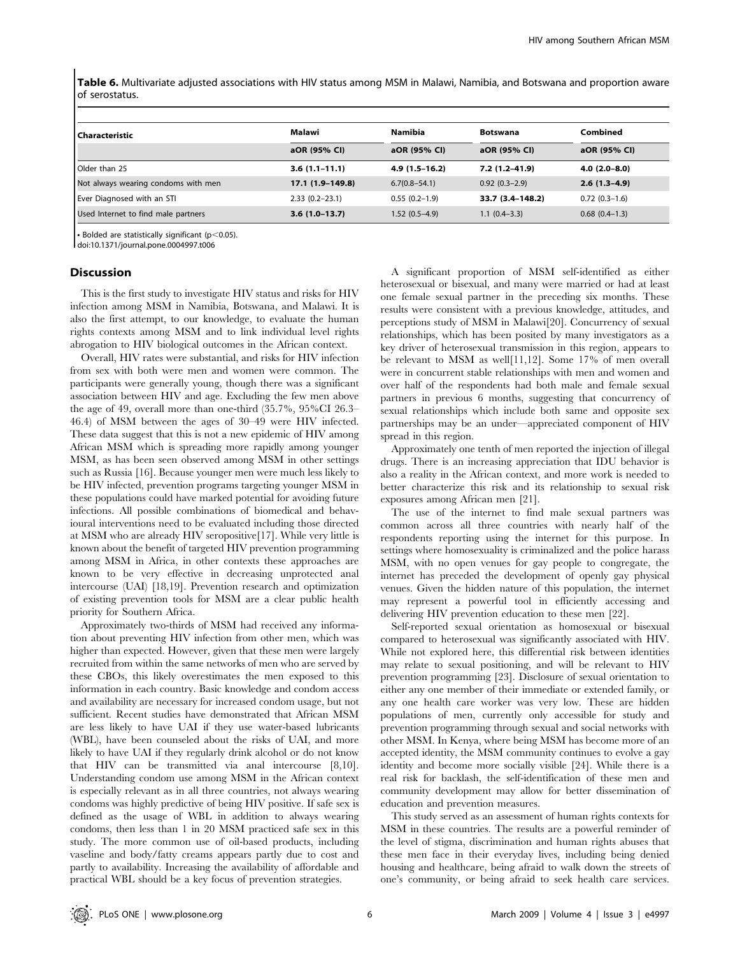Table 6. Multivariate adjusted associations with HIV status among MSM in Malawi, Namibia, and Botswana and proportion aware of serostatus.

| l Characteristic                    | Malawi           | Namibia           | <b>Botswana</b>   | Combined         |
|-------------------------------------|------------------|-------------------|-------------------|------------------|
|                                     | aOR (95% CI)     | aOR (95% CI)      | aOR (95% CI)      | aOR (95% CI)     |
| Older than 25                       | $3.6(1.1-11.1)$  | 4.9 (1.5-16.2)    | $7.2(1.2 - 41.9)$ | $4.0(2.0 - 8.0)$ |
| Not always wearing condoms with men | 17.1 (1.9-149.8) | $6.7(0.8 - 54.1)$ | $0.92(0.3-2.9)$   | $2.6(1.3-4.9)$   |
| Ever Diagnosed with an STI          | $2.33(0.2-23.1)$ | $0.55(0.2-1.9)$   | 33.7 (3.4-148.2)  | $0.72(0.3-1.6)$  |
| Used Internet to find male partners | $3.6(1.0-13.7)$  | $1.52(0.5-4.9)$   | $1.1(0.4-3.3)$    | $0.68(0.4-1.3)$  |

• Bolded are statistically significant ( $p$ <0.05).

doi:10.1371/journal.pone.0004997.t006

## **Discussion**

This is the first study to investigate HIV status and risks for HIV infection among MSM in Namibia, Botswana, and Malawi. It is also the first attempt, to our knowledge, to evaluate the human rights contexts among MSM and to link individual level rights abrogation to HIV biological outcomes in the African context.

Overall, HIV rates were substantial, and risks for HIV infection from sex with both were men and women were common. The participants were generally young, though there was a significant association between HIV and age. Excluding the few men above the age of 49, overall more than one-third (35.7%, 95%CI 26.3– 46.4) of MSM between the ages of 30–49 were HIV infected. These data suggest that this is not a new epidemic of HIV among African MSM which is spreading more rapidly among younger MSM, as has been seen observed among MSM in other settings such as Russia [16]. Because younger men were much less likely to be HIV infected, prevention programs targeting younger MSM in these populations could have marked potential for avoiding future infections. All possible combinations of biomedical and behavioural interventions need to be evaluated including those directed at MSM who are already HIV seropositive[17]. While very little is known about the benefit of targeted HIV prevention programming among MSM in Africa, in other contexts these approaches are known to be very effective in decreasing unprotected anal intercourse (UAI) [18,19]. Prevention research and optimization of existing prevention tools for MSM are a clear public health priority for Southern Africa.

Approximately two-thirds of MSM had received any information about preventing HIV infection from other men, which was higher than expected. However, given that these men were largely recruited from within the same networks of men who are served by these CBOs, this likely overestimates the men exposed to this information in each country. Basic knowledge and condom access and availability are necessary for increased condom usage, but not sufficient. Recent studies have demonstrated that African MSM are less likely to have UAI if they use water-based lubricants (WBL), have been counseled about the risks of UAI, and more likely to have UAI if they regularly drink alcohol or do not know that HIV can be transmitted via anal intercourse [8,10]. Understanding condom use among MSM in the African context is especially relevant as in all three countries, not always wearing condoms was highly predictive of being HIV positive. If safe sex is defined as the usage of WBL in addition to always wearing condoms, then less than 1 in 20 MSM practiced safe sex in this study. The more common use of oil-based products, including vaseline and body/fatty creams appears partly due to cost and partly to availability. Increasing the availability of affordable and practical WBL should be a key focus of prevention strategies.

A significant proportion of MSM self-identified as either heterosexual or bisexual, and many were married or had at least one female sexual partner in the preceding six months. These results were consistent with a previous knowledge, attitudes, and perceptions study of MSM in Malawi[20]. Concurrency of sexual relationships, which has been posited by many investigators as a key driver of heterosexual transmission in this region, appears to be relevant to MSM as well[11,12]. Some 17% of men overall were in concurrent stable relationships with men and women and over half of the respondents had both male and female sexual partners in previous 6 months, suggesting that concurrency of sexual relationships which include both same and opposite sex partnerships may be an under—appreciated component of HIV spread in this region.

Approximately one tenth of men reported the injection of illegal drugs. There is an increasing appreciation that IDU behavior is also a reality in the African context, and more work is needed to better characterize this risk and its relationship to sexual risk exposures among African men [21].

The use of the internet to find male sexual partners was common across all three countries with nearly half of the respondents reporting using the internet for this purpose. In settings where homosexuality is criminalized and the police harass MSM, with no open venues for gay people to congregate, the internet has preceded the development of openly gay physical venues. Given the hidden nature of this population, the internet may represent a powerful tool in efficiently accessing and delivering HIV prevention education to these men [22].

Self-reported sexual orientation as homosexual or bisexual compared to heterosexual was significantly associated with HIV. While not explored here, this differential risk between identities may relate to sexual positioning, and will be relevant to HIV prevention programming [23]. Disclosure of sexual orientation to either any one member of their immediate or extended family, or any one health care worker was very low. These are hidden populations of men, currently only accessible for study and prevention programming through sexual and social networks with other MSM. In Kenya, where being MSM has become more of an accepted identity, the MSM community continues to evolve a gay identity and become more socially visible [24]. While there is a real risk for backlash, the self-identification of these men and community development may allow for better dissemination of education and prevention measures.

This study served as an assessment of human rights contexts for MSM in these countries. The results are a powerful reminder of the level of stigma, discrimination and human rights abuses that these men face in their everyday lives, including being denied housing and healthcare, being afraid to walk down the streets of one's community, or being afraid to seek health care services.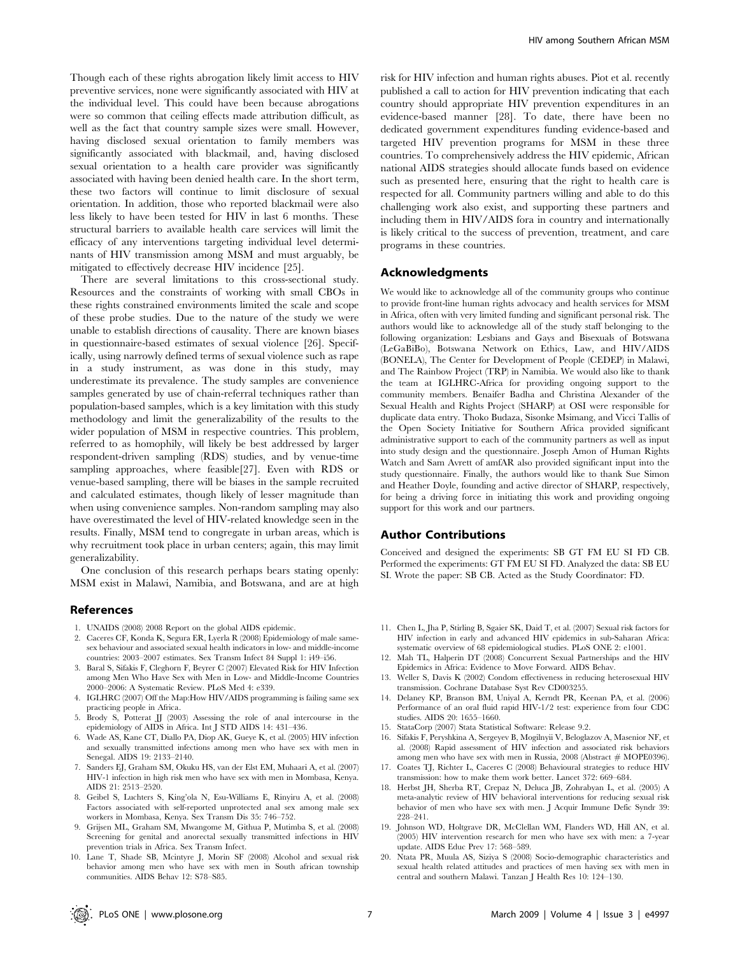Though each of these rights abrogation likely limit access to HIV preventive services, none were significantly associated with HIV at the individual level. This could have been because abrogations were so common that ceiling effects made attribution difficult, as well as the fact that country sample sizes were small. However, having disclosed sexual orientation to family members was significantly associated with blackmail, and, having disclosed sexual orientation to a health care provider was significantly associated with having been denied health care. In the short term, these two factors will continue to limit disclosure of sexual orientation. In addition, those who reported blackmail were also less likely to have been tested for HIV in last 6 months. These structural barriers to available health care services will limit the efficacy of any interventions targeting individual level determinants of HIV transmission among MSM and must arguably, be mitigated to effectively decrease HIV incidence [25].

There are several limitations to this cross-sectional study. Resources and the constraints of working with small CBOs in these rights constrained environments limited the scale and scope of these probe studies. Due to the nature of the study we were unable to establish directions of causality. There are known biases in questionnaire-based estimates of sexual violence [26]. Specifically, using narrowly defined terms of sexual violence such as rape in a study instrument, as was done in this study, may underestimate its prevalence. The study samples are convenience samples generated by use of chain-referral techniques rather than population-based samples, which is a key limitation with this study methodology and limit the generalizability of the results to the wider population of MSM in respective countries. This problem, referred to as homophily, will likely be best addressed by larger respondent-driven sampling (RDS) studies, and by venue-time sampling approaches, where feasible[27]. Even with RDS or venue-based sampling, there will be biases in the sample recruited and calculated estimates, though likely of lesser magnitude than when using convenience samples. Non-random sampling may also have overestimated the level of HIV-related knowledge seen in the results. Finally, MSM tend to congregate in urban areas, which is why recruitment took place in urban centers; again, this may limit generalizability.

One conclusion of this research perhaps bears stating openly: MSM exist in Malawi, Namibia, and Botswana, and are at high

#### References

- 1. UNAIDS (2008) 2008 Report on the global AIDS epidemic.
- 2. Caceres CF, Konda K, Segura ER, Lyerla R (2008) Epidemiology of male samesex behaviour and associated sexual health indicators in low- and middle-income countries: 2003–2007 estimates. Sex Transm Infect 84 Suppl 1: i49–i56.
- 3. Baral S, Sifakis F, Cleghorn F, Beyrer C (2007) Elevated Risk for HIV Infection among Men Who Have Sex with Men in Low- and Middle-Income Countries 2000–2006: A Systematic Review. PLoS Med 4: e339.
- 4. IGLHRC (2007) Off the Map:How HIV/AIDS programming is failing same sex practicing people in Africa.
- 5. Brody S, Potterat JJ (2003) Assessing the role of anal intercourse in the epidemiology of AIDS in Africa. Int J STD AIDS 14: 431–436.
- 6. Wade AS, Kane CT, Diallo PA, Diop AK, Gueye K, et al. (2005) HIV infection and sexually transmitted infections among men who have sex with men in Senegal. AIDS 19: 2133–2140.
- 7. Sanders EJ, Graham SM, Okuku HS, van der Elst EM, Muhaari A, et al. (2007) HIV-1 infection in high risk men who have sex with men in Mombasa, Kenya. AIDS 21: 2513–2520.
- 8. Geibel S, Luchters S, King'ola N, Esu-Williams E, Rinyiru A, et al. (2008) Factors associated with self-reported unprotected anal sex among male sex workers in Mombasa, Kenya. Sex Transm Dis 35: 746–752.
- 9. Grijsen ML, Graham SM, Mwangome M, Githua P, Mutimba S, et al. (2008) Screening for genital and anorectal sexually transmitted infections in HIV prevention trials in Africa. Sex Transm Infect.
- 10. Lane T, Shade SB, Mcintyre J, Morin SF (2008) Alcohol and sexual risk behavior among men who have sex with men in South african township communities. AIDS Behav 12: S78–S85.

risk for HIV infection and human rights abuses. Piot et al. recently published a call to action for HIV prevention indicating that each country should appropriate HIV prevention expenditures in an evidence-based manner [28]. To date, there have been no dedicated government expenditures funding evidence-based and targeted HIV prevention programs for MSM in these three countries. To comprehensively address the HIV epidemic, African national AIDS strategies should allocate funds based on evidence such as presented here, ensuring that the right to health care is respected for all. Community partners willing and able to do this challenging work also exist, and supporting these partners and including them in HIV/AIDS fora in country and internationally is likely critical to the success of prevention, treatment, and care programs in these countries.

#### Acknowledgments

We would like to acknowledge all of the community groups who continue to provide front-line human rights advocacy and health services for MSM in Africa, often with very limited funding and significant personal risk. The authors would like to acknowledge all of the study staff belonging to the following organization: Lesbians and Gays and Bisexuals of Botswana (LeGaBiBo), Botswana Network on Ethics, Law, and HIV/AIDS (BONELA), The Center for Development of People (CEDEP) in Malawi, and The Rainbow Project (TRP) in Namibia. We would also like to thank the team at IGLHRC-Africa for providing ongoing support to the community members. Benaifer Badha and Christina Alexander of the Sexual Health and Rights Project (SHARP) at OSI were responsible for duplicate data entry. Thoko Budaza, Sisonke Msimang, and Vicci Tallis of the Open Society Initiative for Southern Africa provided significant administrative support to each of the community partners as well as input into study design and the questionnaire. Joseph Amon of Human Rights Watch and Sam Avrett of amfAR also provided significant input into the study questionnaire. Finally, the authors would like to thank Sue Simon and Heather Doyle, founding and active director of SHARP, respectively, for being a driving force in initiating this work and providing ongoing support for this work and our partners.

## Author Contributions

Conceived and designed the experiments: SB GT FM EU SI FD CB. Performed the experiments: GT FM EU SI FD. Analyzed the data: SB EU SI. Wrote the paper: SB CB. Acted as the Study Coordinator: FD.

- 11. Chen L, Jha P, Stirling B, Sgaier SK, Daid T, et al. (2007) Sexual risk factors for HIV infection in early and advanced HIV epidemics in sub-Saharan Africa: systematic overview of 68 epidemiological studies. PLoS ONE 2: e1001.
- 12. Mah TL, Halperin DT (2008) Concurrent Sexual Partnerships and the HIV Epidemics in Africa: Evidence to Move Forward. AIDS Behav.
- 13. Weller S, Davis K (2002) Condom effectiveness in reducing heterosexual HIV transmission. Cochrane Database Syst Rev CD003255.
- 14. Delaney KP, Branson BM, Uniyal A, Kerndt PR, Keenan PA, et al. (2006) Performance of an oral fluid rapid HIV-1/2 test: experience from four CDC studies. AIDS 20: 1655–1660.
- 15. StataCorp (2007) Stata Statistical Software: Release 9.2.
- 16. Sifakis F, Peryshkina A, Sergeyev B, Mogilnyii V, Beloglazov A, Masenior NF, et al. (2008) Rapid assessment of HIV infection and associated risk behaviors among men who have sex with men in Russia, 2008 (Abstract *#* MOPE0396).
- 17. Coates TJ, Richter L, Caceres C (2008) Behavioural strategies to reduce HIV transmission: how to make them work better. Lancet 372: 669–684.
- 18. Herbst JH, Sherba RT, Crepaz N, Deluca JB, Zohrabyan L, et al. (2005) A meta-analytic review of HIV behavioral interventions for reducing sexual risk behavior of men who have sex with men. J Acquir Immune Defic Syndr 39: 228–241.
- 19. Johnson WD, Holtgrave DR, McClellan WM, Flanders WD, Hill AN, et al. (2005) HIV intervention research for men who have sex with men: a 7-year update. AIDS Educ Prev 17: 568–589.
- 20. Ntata PR, Muula AS, Siziya S (2008) Socio-demographic characteristics and sexual health related attitudes and practices of men having sex with men in central and southern Malawi. Tanzan J Health Res 10: 124–130.